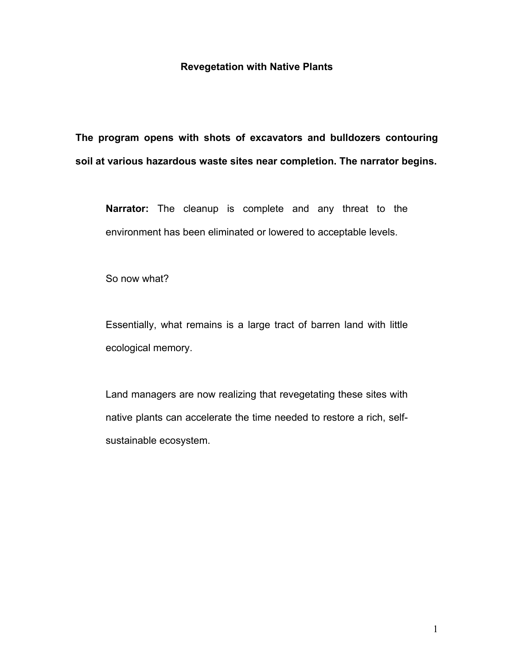## **Revegetation with Native Plants**

**The program opens with shots of excavators and bulldozers contouring soil at various hazardous waste sites near completion. The narrator begins.** 

**Narrator:** The cleanup is complete and any threat to the environment has been eliminated or lowered to acceptable levels.

So now what?

Essentially, what remains is a large tract of barren land with little ecological memory.

Land managers are now realizing that revegetating these sites with native plants can accelerate the time needed to restore a rich, selfsustainable ecosystem.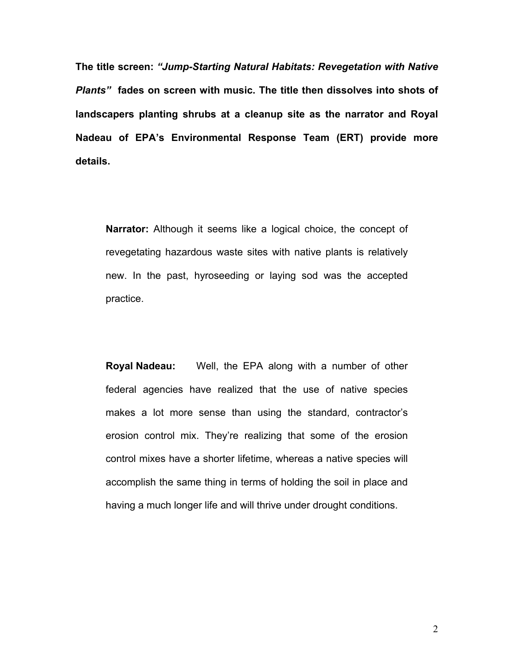**The title screen:** *ìJump-Starting Natural Habitats: Revegetation with Native Plantsî* **fades on screen with music. The title then dissolves into shots of landscapers planting shrubs at a cleanup site as the narrator and Royal Nadeau of EPAís Environmental Response Team (ERT) provide more details.** 

**Narrator:** Although it seems like a logical choice, the concept of revegetating hazardous waste sites with native plants is relatively new. In the past, hyroseeding or laying sod was the accepted practice.

**Royal Nadeau:** Well, the EPA along with a number of other federal agencies have realized that the use of native species makes a lot more sense than using the standard, contractor's erosion control mix. They're realizing that some of the erosion control mixes have a shorter lifetime, whereas a native species will accomplish the same thing in terms of holding the soil in place and having a much longer life and will thrive under drought conditions.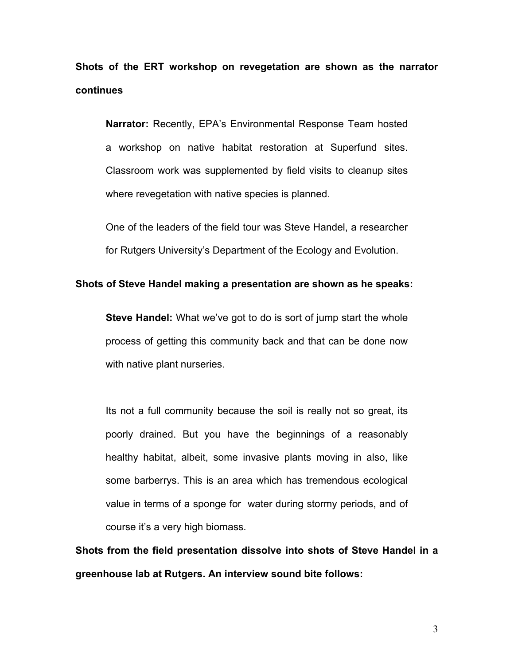**Shots of the ERT workshop on revegetation are shown as the narrator continues** 

**Narrator:** Recently, EPAís Environmental Response Team hosted a workshop on native habitat restoration at Superfund sites. Classroom work was supplemented by field visits to cleanup sites where revegetation with native species is planned.

One of the leaders of the field tour was Steve Handel, a researcher for Rutgers University's Department of the Ecology and Evolution.

## **Shots of Steve Handel making a presentation are shown as he speaks:**

**Steve Handel:** What we've got to do is sort of jump start the whole process of getting this community back and that can be done now with native plant nurseries.

Its not a full community because the soil is really not so great, its poorly drained. But you have the beginnings of a reasonably healthy habitat, albeit, some invasive plants moving in also, like some barberrys. This is an area which has tremendous ecological value in terms of a sponge for water during stormy periods, and of course it's a very high biomass.

**Shots from the field presentation dissolve into shots of Steve Handel in a greenhouse lab at Rutgers. An interview sound bite follows:**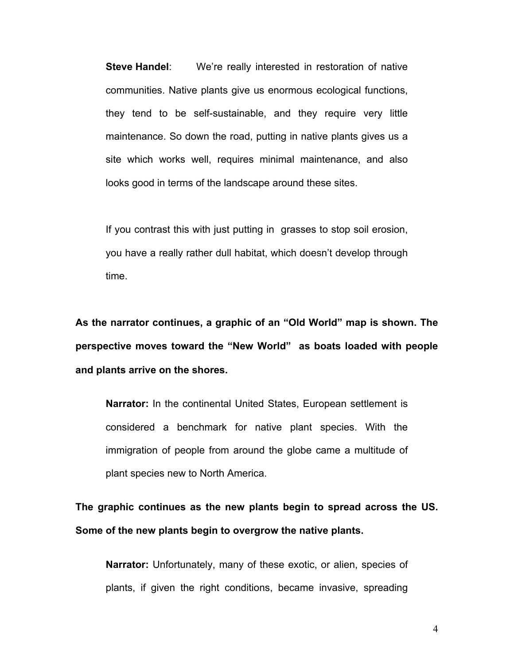**Steve Handel:** We're really interested in restoration of native communities. Native plants give us enormous ecological functions, they tend to be self-sustainable, and they require very little maintenance. So down the road, putting in native plants gives us a site which works well, requires minimal maintenance, and also looks good in terms of the landscape around these sites.

If you contrast this with just putting in grasses to stop soil erosion, you have a really rather dull habitat, which doesnít develop through time.

As the narrator continues, a graphic of an "Old World" map is shown. The perspective moves toward the "New World" as boats loaded with people **and plants arrive on the shores.** 

**Narrator:** In the continental United States, European settlement is considered a benchmark for native plant species. With the immigration of people from around the globe came a multitude of plant species new to North America.

**The graphic continues as the new plants begin to spread across the US. Some of the new plants begin to overgrow the native plants.**

**Narrator:** Unfortunately, many of these exotic, or alien, species of plants, if given the right conditions, became invasive, spreading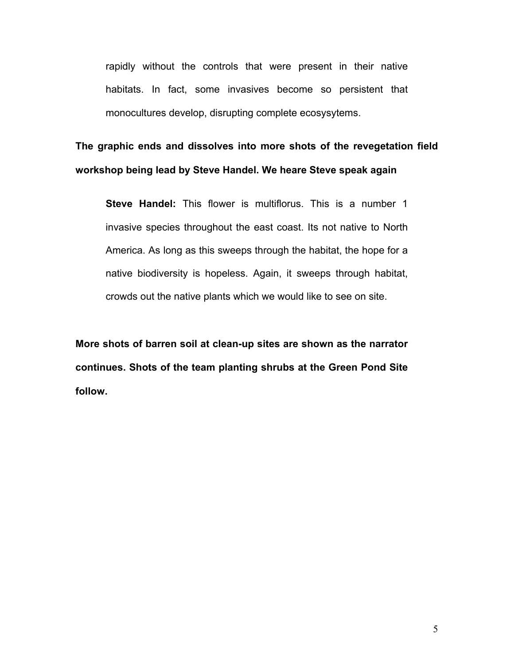rapidly without the controls that were present in their native habitats. In fact, some invasives become so persistent that monocultures develop, disrupting complete ecosysytems.

**The graphic ends and dissolves into more shots of the revegetation field workshop being lead by Steve Handel. We heare Steve speak again**

**Steve Handel:** This flower is multiflorus. This is a number 1 invasive species throughout the east coast. Its not native to North America. As long as this sweeps through the habitat, the hope for a native biodiversity is hopeless. Again, it sweeps through habitat, crowds out the native plants which we would like to see on site.

**More shots of barren soil at clean-up sites are shown as the narrator continues. Shots of the team planting shrubs at the Green Pond Site follow.**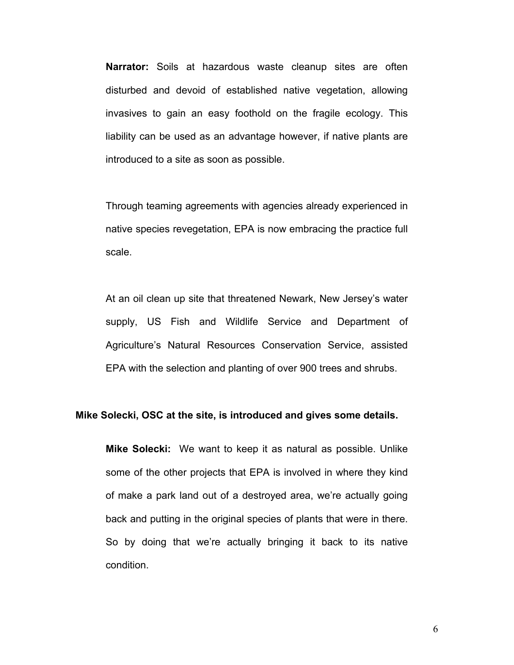**Narrator:** Soils at hazardous waste cleanup sites are often disturbed and devoid of established native vegetation, allowing invasives to gain an easy foothold on the fragile ecology. This liability can be used as an advantage however, if native plants are introduced to a site as soon as possible.

Through teaming agreements with agencies already experienced in native species revegetation, EPA is now embracing the practice full scale.

At an oil clean up site that threatened Newark, New Jersey's water supply, US Fish and Wildlife Service and Department of Agriculture's Natural Resources Conservation Service, assisted EPA with the selection and planting of over 900 trees and shrubs.

## **Mike Solecki, OSC at the site, is introduced and gives some details.**

**Mike Solecki:** We want to keep it as natural as possible. Unlike some of the other projects that EPA is involved in where they kind of make a park land out of a destroyed area, we're actually going back and putting in the original species of plants that were in there. So by doing that we're actually bringing it back to its native condition.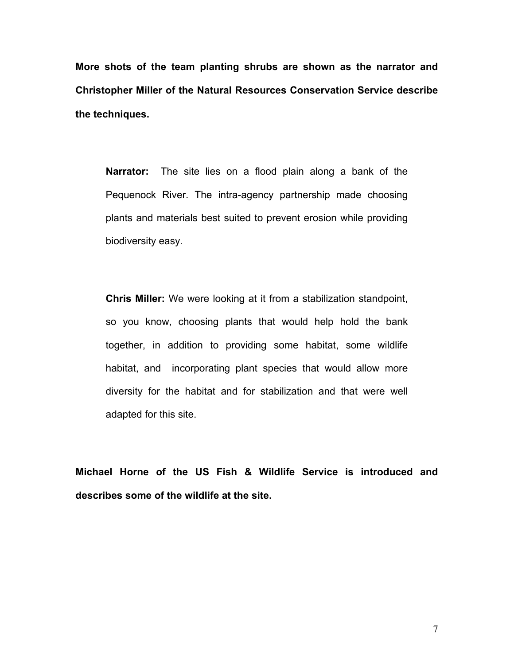**More shots of the team planting shrubs are shown as the narrator and Christopher Miller of the Natural Resources Conservation Service describe the techniques.** 

**Narrator:** The site lies on a flood plain along a bank of the Pequenock River. The intra-agency partnership made choosing plants and materials best suited to prevent erosion while providing biodiversity easy.

**Chris Miller:** We were looking at it from a stabilization standpoint, so you know, choosing plants that would help hold the bank together, in addition to providing some habitat, some wildlife habitat, and incorporating plant species that would allow more diversity for the habitat and for stabilization and that were well adapted for this site.

**Michael Horne of the US Fish & Wildlife Service is introduced and describes some of the wildlife at the site.**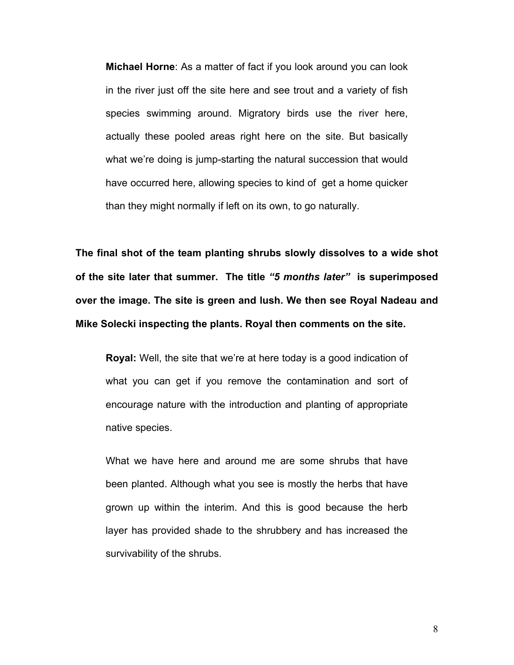**Michael Horne**: As a matter of fact if you look around you can look in the river just off the site here and see trout and a variety of fish species swimming around. Migratory birds use the river here, actually these pooled areas right here on the site. But basically what we're doing is jump-starting the natural succession that would have occurred here, allowing species to kind of get a home quicker than they might normally if left on its own, to go naturally.

**The final shot of the team planting shrubs slowly dissolves to a wide shot of the site later that summer. The title** *ì5 months laterî* **is superimposed over the image. The site is green and lush. We then see Royal Nadeau and Mike Solecki inspecting the plants. Royal then comments on the site.** 

**Royal:** Well, the site that we're at here today is a good indication of what you can get if you remove the contamination and sort of encourage nature with the introduction and planting of appropriate native species.

What we have here and around me are some shrubs that have been planted. Although what you see is mostly the herbs that have grown up within the interim. And this is good because the herb layer has provided shade to the shrubbery and has increased the survivability of the shrubs.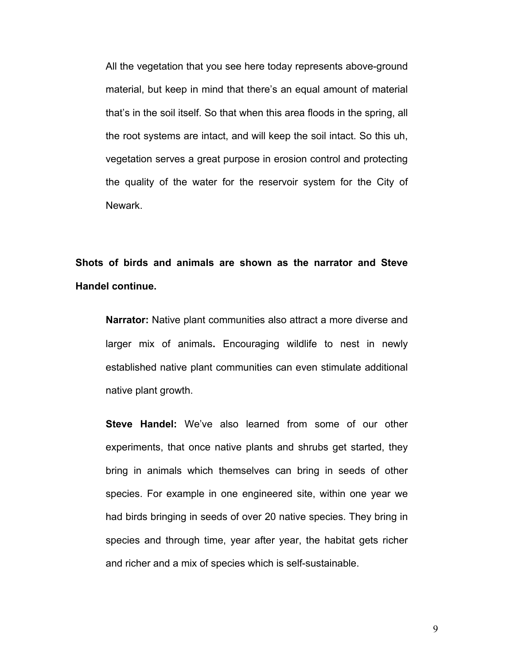All the vegetation that you see here today represents above-ground material, but keep in mind that there's an equal amount of material that's in the soil itself. So that when this area floods in the spring, all the root systems are intact, and will keep the soil intact. So this uh, vegetation serves a great purpose in erosion control and protecting the quality of the water for the reservoir system for the City of Newark.

**Shots of birds and animals are shown as the narrator and Steve Handel continue.**

**Narrator:** Native plant communities also attract a more diverse and larger mix of animals**.** Encouraging wildlife to nest in newly established native plant communities can even stimulate additional native plant growth.

**Steve Handel:** We've also learned from some of our other experiments, that once native plants and shrubs get started, they bring in animals which themselves can bring in seeds of other species. For example in one engineered site, within one year we had birds bringing in seeds of over 20 native species. They bring in species and through time, year after year, the habitat gets richer and richer and a mix of species which is self-sustainable.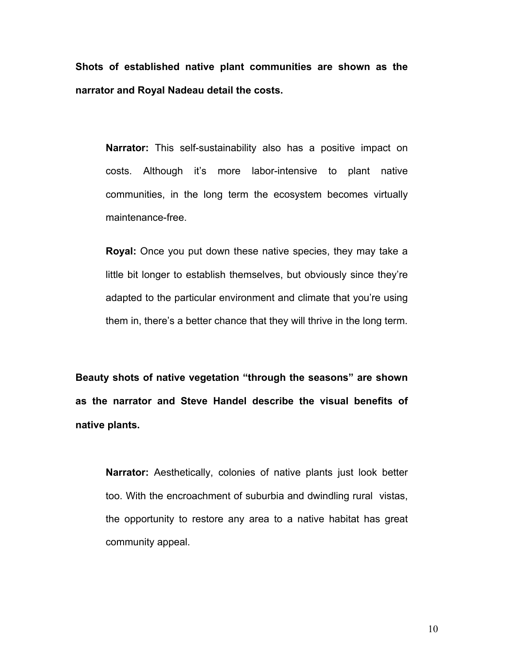**Shots of established native plant communities are shown as the narrator and Royal Nadeau detail the costs.** 

**Narrator:** This self-sustainability also has a positive impact on costs. Although it's more labor-intensive to plant native communities, in the long term the ecosystem becomes virtually maintenance-free.

**Royal:** Once you put down these native species, they may take a little bit longer to establish themselves, but obviously since they're adapted to the particular environment and climate that you're using them in, there's a better chance that they will thrive in the long term.

Beauty shots of native vegetation "through the seasons" are shown **as the narrator and Steve Handel describe the visual benefits of native plants.** 

**Narrator:** Aesthetically, colonies of native plants just look better too. With the encroachment of suburbia and dwindling rural vistas, the opportunity to restore any area to a native habitat has great community appeal.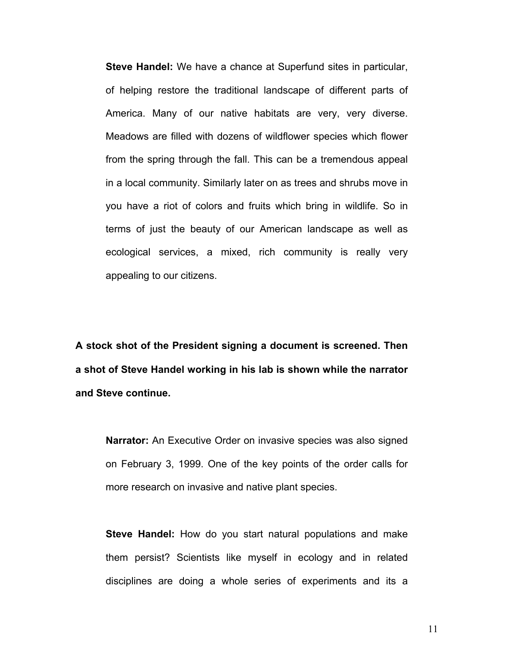**Steve Handel:** We have a chance at Superfund sites in particular, of helping restore the traditional landscape of different parts of America. Many of our native habitats are very, very diverse. Meadows are filled with dozens of wildflower species which flower from the spring through the fall. This can be a tremendous appeal in a local community. Similarly later on as trees and shrubs move in you have a riot of colors and fruits which bring in wildlife. So in terms of just the beauty of our American landscape as well as ecological services, a mixed, rich community is really very appealing to our citizens.

**A stock shot of the President signing a document is screened. Then a shot of Steve Handel working in his lab is shown while the narrator and Steve continue.** 

**Narrator:** An Executive Order on invasive species was also signed on February 3, 1999. One of the key points of the order calls for more research on invasive and native plant species.

**Steve Handel:** How do you start natural populations and make them persist? Scientists like myself in ecology and in related disciplines are doing a whole series of experiments and its a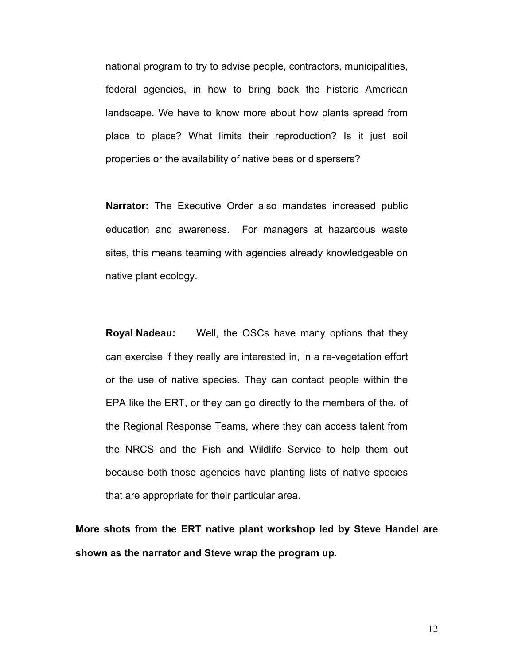national program to try to advise people, contractors, municipalities, federal agencies, in how to bring back the historic American landscape. We have to know more about how plants spread from place to place? What limits their reproduction? Is it just soil properties or the availability of native bees or dispersers?

**Narrator:** The Executive Order also mandates increased public education and awareness. For managers at hazardous waste sites, this means teaming with agencies already knowledgeable on native plant ecology.

**Royal Nadeau:** Well, the OSCs have many options that they can exercise if they really are interested in, in a re-vegetation effort or the use of native species. They can contact people within the EPA like the ERT, or they can go directly to the members of the, of the Regional Response Teams, where they can access talent from the NRCS and the Fish and Wildlife Service to help them out because both those agencies have planting lists of native species that are appropriate for their particular area.

**More shots from the ERT native plant workshop led by Steve Handel are shown as the narrator and Steve wrap the program up.**